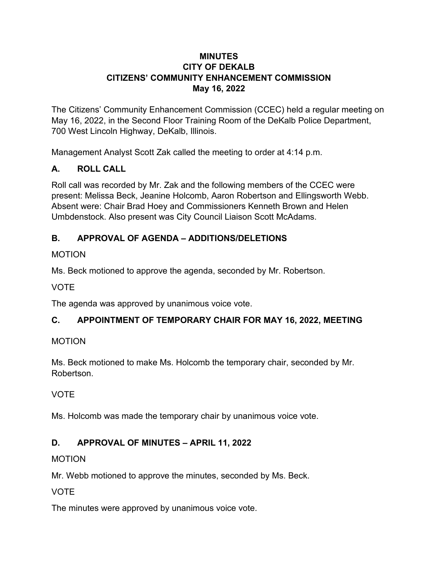### **MINUTES CITY OF DEKALB CITIZENS' COMMUNITY ENHANCEMENT COMMISSION May 16, 2022**

The Citizens' Community Enhancement Commission (CCEC) held a regular meeting on May 16, 2022, in the Second Floor Training Room of the DeKalb Police Department, 700 West Lincoln Highway, DeKalb, Illinois.

Management Analyst Scott Zak called the meeting to order at 4:14 p.m.

## **A. ROLL CALL**

Roll call was recorded by Mr. Zak and the following members of the CCEC were present: Melissa Beck, Jeanine Holcomb, Aaron Robertson and Ellingsworth Webb. Absent were: Chair Brad Hoey and Commissioners Kenneth Brown and Helen Umbdenstock. Also present was City Council Liaison Scott McAdams.

## **B. APPROVAL OF AGENDA – ADDITIONS/DELETIONS**

## MOTION

Ms. Beck motioned to approve the agenda, seconded by Mr. Robertson.

### VOTE

The agenda was approved by unanimous voice vote.

## **C. APPOINTMENT OF TEMPORARY CHAIR FOR MAY 16, 2022, MEETING**

## MOTION

Ms. Beck motioned to make Ms. Holcomb the temporary chair, seconded by Mr. Robertson.

## VOTE

Ms. Holcomb was made the temporary chair by unanimous voice vote.

# **D. APPROVAL OF MINUTES – APRIL 11, 2022**

## MOTION

Mr. Webb motioned to approve the minutes, seconded by Ms. Beck.

## VOTE

The minutes were approved by unanimous voice vote.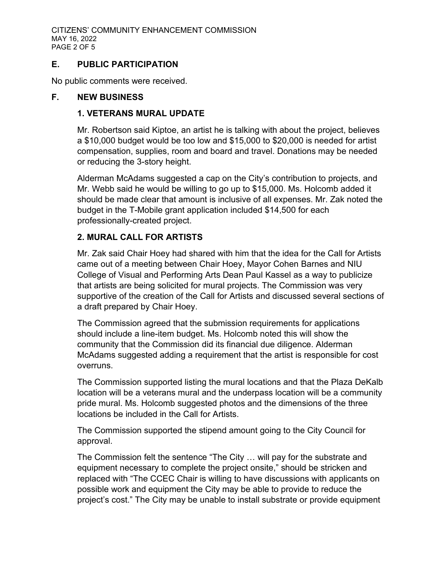### **E. PUBLIC PARTICIPATION**

No public comments were received.

#### **F. NEW BUSINESS**

#### **1. VETERANS MURAL UPDATE**

Mr. Robertson said Kiptoe, an artist he is talking with about the project, believes a \$10,000 budget would be too low and \$15,000 to \$20,000 is needed for artist compensation, supplies, room and board and travel. Donations may be needed or reducing the 3-story height.

Alderman McAdams suggested a cap on the City's contribution to projects, and Mr. Webb said he would be willing to go up to \$15,000. Ms. Holcomb added it should be made clear that amount is inclusive of all expenses. Mr. Zak noted the budget in the T-Mobile grant application included \$14,500 for each professionally-created project.

### **2. MURAL CALL FOR ARTISTS**

Mr. Zak said Chair Hoey had shared with him that the idea for the Call for Artists came out of a meeting between Chair Hoey, Mayor Cohen Barnes and NIU College of Visual and Performing Arts Dean Paul Kassel as a way to publicize that artists are being solicited for mural projects. The Commission was very supportive of the creation of the Call for Artists and discussed several sections of a draft prepared by Chair Hoey.

The Commission agreed that the submission requirements for applications should include a line-item budget. Ms. Holcomb noted this will show the community that the Commission did its financial due diligence. Alderman McAdams suggested adding a requirement that the artist is responsible for cost overruns.

The Commission supported listing the mural locations and that the Plaza DeKalb location will be a veterans mural and the underpass location will be a community pride mural. Ms. Holcomb suggested photos and the dimensions of the three locations be included in the Call for Artists.

The Commission supported the stipend amount going to the City Council for approval.

The Commission felt the sentence "The City … will pay for the substrate and equipment necessary to complete the project onsite," should be stricken and replaced with "The CCEC Chair is willing to have discussions with applicants on possible work and equipment the City may be able to provide to reduce the project's cost." The City may be unable to install substrate or provide equipment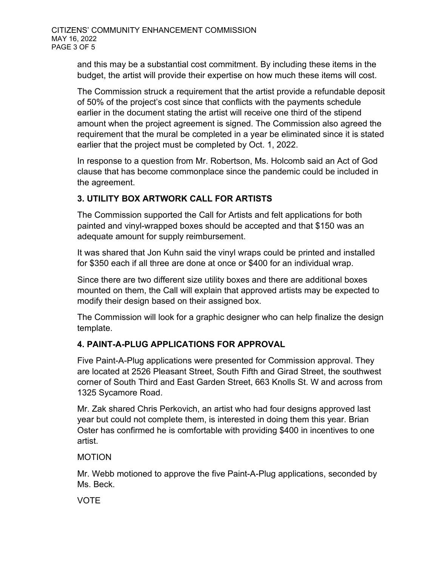and this may be a substantial cost commitment. By including these items in the budget, the artist will provide their expertise on how much these items will cost.

The Commission struck a requirement that the artist provide a refundable deposit of 50% of the project's cost since that conflicts with the payments schedule earlier in the document stating the artist will receive one third of the stipend amount when the project agreement is signed. The Commission also agreed the requirement that the mural be completed in a year be eliminated since it is stated earlier that the project must be completed by Oct. 1, 2022.

In response to a question from Mr. Robertson, Ms. Holcomb said an Act of God clause that has become commonplace since the pandemic could be included in the agreement.

## **3. UTILITY BOX ARTWORK CALL FOR ARTISTS**

The Commission supported the Call for Artists and felt applications for both painted and vinyl-wrapped boxes should be accepted and that \$150 was an adequate amount for supply reimbursement.

It was shared that Jon Kuhn said the vinyl wraps could be printed and installed for \$350 each if all three are done at once or \$400 for an individual wrap.

Since there are two different size utility boxes and there are additional boxes mounted on them, the Call will explain that approved artists may be expected to modify their design based on their assigned box.

The Commission will look for a graphic designer who can help finalize the design template.

## **4. PAINT-A-PLUG APPLICATIONS FOR APPROVAL**

Five Paint-A-Plug applications were presented for Commission approval. They are located at 2526 Pleasant Street, South Fifth and Girad Street, the southwest corner of South Third and East Garden Street, 663 Knolls St. W and across from 1325 Sycamore Road.

Mr. Zak shared Chris Perkovich, an artist who had four designs approved last year but could not complete them, is interested in doing them this year. Brian Oster has confirmed he is comfortable with providing \$400 in incentives to one artist.

### MOTION

Mr. Webb motioned to approve the five Paint-A-Plug applications, seconded by Ms. Beck.

VOTE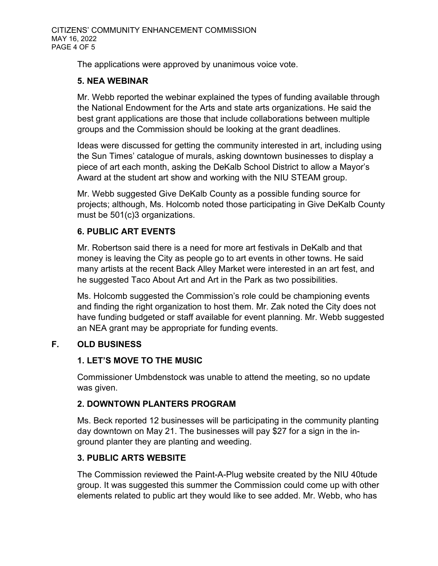The applications were approved by unanimous voice vote.

### **5. NEA WEBINAR**

Mr. Webb reported the webinar explained the types of funding available through the National Endowment for the Arts and state arts organizations. He said the best grant applications are those that include collaborations between multiple groups and the Commission should be looking at the grant deadlines.

Ideas were discussed for getting the community interested in art, including using the Sun Times' catalogue of murals, asking downtown businesses to display a piece of art each month, asking the DeKalb School District to allow a Mayor's Award at the student art show and working with the NIU STEAM group.

Mr. Webb suggested Give DeKalb County as a possible funding source for projects; although, Ms. Holcomb noted those participating in Give DeKalb County must be 501(c)3 organizations.

## **6. PUBLIC ART EVENTS**

Mr. Robertson said there is a need for more art festivals in DeKalb and that money is leaving the City as people go to art events in other towns. He said many artists at the recent Back Alley Market were interested in an art fest, and he suggested Taco About Art and Art in the Park as two possibilities.

Ms. Holcomb suggested the Commission's role could be championing events and finding the right organization to host them. Mr. Zak noted the City does not have funding budgeted or staff available for event planning. Mr. Webb suggested an NEA grant may be appropriate for funding events.

## **F. OLD BUSINESS**

## **1. LET'S MOVE TO THE MUSIC**

Commissioner Umbdenstock was unable to attend the meeting, so no update was given.

## **2. DOWNTOWN PLANTERS PROGRAM**

Ms. Beck reported 12 businesses will be participating in the community planting day downtown on May 21. The businesses will pay \$27 for a sign in the inground planter they are planting and weeding.

## **3. PUBLIC ARTS WEBSITE**

The Commission reviewed the Paint-A-Plug website created by the NIU 40tude group. It was suggested this summer the Commission could come up with other elements related to public art they would like to see added. Mr. Webb, who has